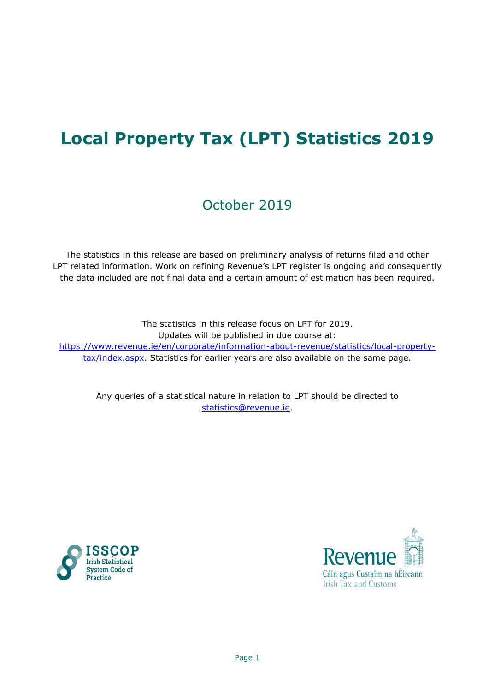# **Local Property Tax (LPT) Statistics 2019**

# October 2019

The statistics in this release are based on preliminary analysis of returns filed and other LPT related information. Work on refining Revenue's LPT register is ongoing and consequently the data included are not final data and a certain amount of estimation has been required.

The statistics in this release focus on LPT for 2019. Updates will be published in due course at: [https://www.revenue.ie/en/corporate/information-about-revenue/statistics/local-property](https://www.revenue.ie/en/corporate/information-about-revenue/statistics/local-property-tax/index.aspx)[tax/index.aspx.](https://www.revenue.ie/en/corporate/information-about-revenue/statistics/local-property-tax/index.aspx) Statistics for earlier years are also available on the same page.

Any queries of a statistical nature in relation to LPT should be directed to [statistics@revenue.ie.](mailto:statistics@revenue.ie)



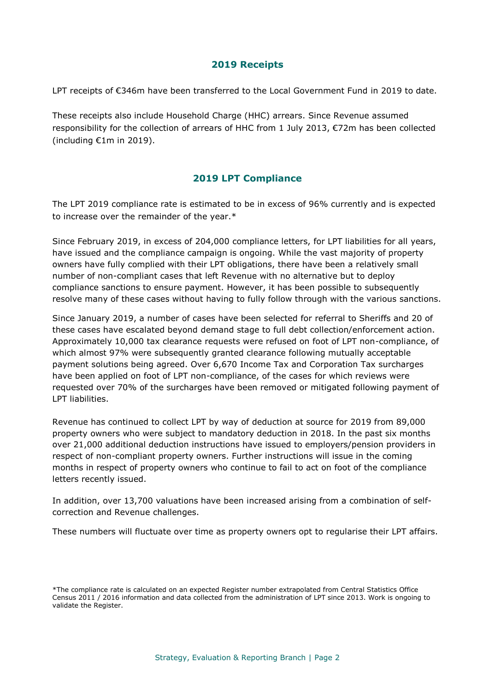#### **2019 Receipts**

LPT receipts of €346m have been transferred to the Local Government Fund in 2019 to date.

These receipts also include Household Charge (HHC) arrears. Since Revenue assumed responsibility for the collection of arrears of HHC from 1 July 2013, €72m has been collected (including €1m in 2019).

# **2019 LPT Compliance**

The LPT 2019 compliance rate is estimated to be in excess of 96% currently and is expected to increase over the remainder of the year.\*

Since February 2019, in excess of 204,000 compliance letters, for LPT liabilities for all years, have issued and the compliance campaign is ongoing. While the vast majority of property owners have fully complied with their LPT obligations, there have been a relatively small number of non-compliant cases that left Revenue with no alternative but to deploy compliance sanctions to ensure payment. However, it has been possible to subsequently resolve many of these cases without having to fully follow through with the various sanctions.

Since January 2019, a number of cases have been selected for referral to Sheriffs and 20 of these cases have escalated beyond demand stage to full debt collection/enforcement action. Approximately 10,000 tax clearance requests were refused on foot of LPT non-compliance, of which almost 97% were subsequently granted clearance following mutually acceptable payment solutions being agreed. Over 6,670 Income Tax and Corporation Tax surcharges have been applied on foot of LPT non-compliance, of the cases for which reviews were requested over 70% of the surcharges have been removed or mitigated following payment of LPT liabilities.

Revenue has continued to collect LPT by way of deduction at source for 2019 from 89,000 property owners who were subject to mandatory deduction in 2018. In the past six months over 21,000 additional deduction instructions have issued to employers/pension providers in respect of non-compliant property owners. Further instructions will issue in the coming months in respect of property owners who continue to fail to act on foot of the compliance letters recently issued.

In addition, over 13,700 valuations have been increased arising from a combination of selfcorrection and Revenue challenges.

These numbers will fluctuate over time as property owners opt to regularise their LPT affairs.

<sup>\*</sup>The compliance rate is calculated on an expected Register number extrapolated from Central Statistics Office Census 2011 / 2016 information and data collected from the administration of LPT since 2013. Work is ongoing to validate the Register.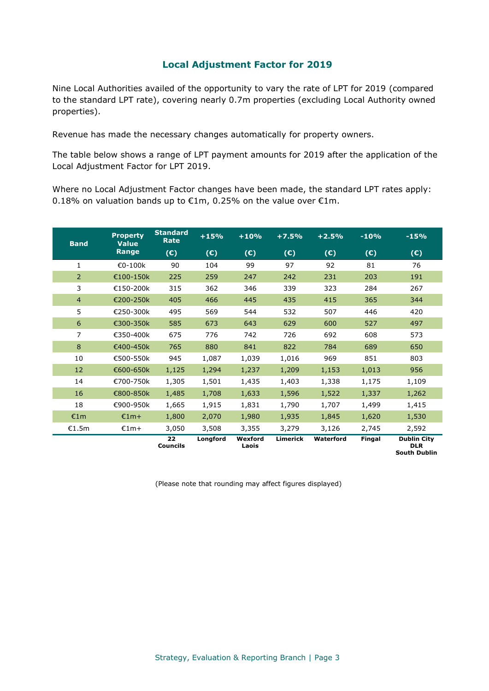#### **Local Adjustment Factor for 2019**

Nine Local Authorities availed of the opportunity to vary the rate of LPT for 2019 (compared to the standard LPT rate), covering nearly 0.7m properties (excluding Local Authority owned properties).

Revenue has made the necessary changes automatically for property owners.

The table below shows a range of LPT payment amounts for 2019 after the application of the Local Adjustment Factor for LPT 2019.

Where no Local Adjustment Factor changes have been made, the standard LPT rates apply: 0.18% on valuation bands up to €1m, 0.25% on the value over €1m.

| <b>Band</b>    | <b>Property</b><br><b>Value</b> | <b>Standard</b><br><b>Rate</b> | $+15%$   | $+10%$           | $+7.5%$         | $+2.5%$   | $-10%$        | $-15%$                                                  |
|----------------|---------------------------------|--------------------------------|----------|------------------|-----------------|-----------|---------------|---------------------------------------------------------|
|                | Range                           | (E)                            | (E)      | (C)              | (E)             | (C)       | (E)           | (E)                                                     |
| 1              | €0-100k                         | 90                             | 104      | 99               | 97              | 92        | 81            | 76                                                      |
| $\overline{2}$ | €100-150k                       | 225                            | 259      | 247              | 242             | 231       | 203           | 191                                                     |
| 3              | €150-200k                       | 315                            | 362      | 346              | 339             | 323       | 284           | 267                                                     |
| $\overline{4}$ | €200-250k                       | 405                            | 466      | 445              | 435             | 415       | 365           | 344                                                     |
| 5              | €250-300k                       | 495                            | 569      | 544              | 532             | 507       | 446           | 420                                                     |
| 6              | €300-350k                       | 585                            | 673      | 643              | 629             | 600       | 527           | 497                                                     |
| 7              | €350-400k                       | 675                            | 776      | 742              | 726             | 692       | 608           | 573                                                     |
| 8              | €400-450k                       | 765                            | 880      | 841              | 822             | 784       | 689           | 650                                                     |
| 10             | €500-550k                       | 945                            | 1,087    | 1,039            | 1,016           | 969       | 851           | 803                                                     |
| 12             | €600-650k                       | 1,125                          | 1,294    | 1,237            | 1,209           | 1,153     | 1,013         | 956                                                     |
| 14             | €700-750k                       | 1,305                          | 1,501    | 1,435            | 1,403           | 1,338     | 1,175         | 1,109                                                   |
| 16             | €800-850k                       | 1,485                          | 1,708    | 1,633            | 1,596           | 1,522     | 1,337         | 1,262                                                   |
| 18             | €900-950k                       | 1,665                          | 1,915    | 1,831            | 1,790           | 1,707     | 1,499         | 1,415                                                   |
| €1m            | $£1m+$                          | 1,800                          | 2,070    | 1,980            | 1,935           | 1,845     | 1,620         | 1,530                                                   |
| €1.5m          | $£1m+$                          | 3,050                          | 3,508    | 3,355            | 3,279           | 3,126     | 2,745         | 2,592                                                   |
|                |                                 | 22<br><b>Councils</b>          | Longford | Wexford<br>Laois | <b>Limerick</b> | Waterford | <b>Fingal</b> | <b>Dublin City</b><br><b>DLR</b><br><b>South Dublin</b> |

(Please note that rounding may affect figures displayed)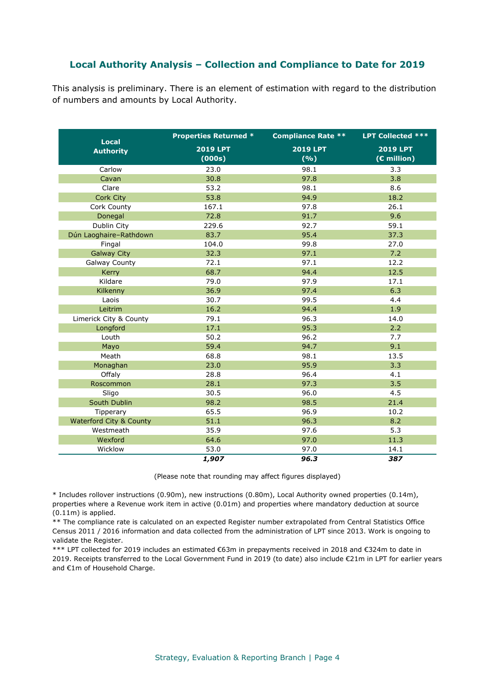### **Local Authority Analysis – Collection and Compliance to Date for 2019**

This analysis is preliminary. There is an element of estimation with regard to the distribution of numbers and amounts by Local Authority.

| <b>Local</b>                       | <b>Properties Returned *</b> | <b>Compliance Rate **</b> | <b>LPT</b> Collected ***       |  |
|------------------------------------|------------------------------|---------------------------|--------------------------------|--|
| <b>Authority</b>                   | <b>2019 LPT</b><br>(000s)    | <b>2019 LPT</b><br>(%)    | <b>2019 LPT</b><br>(€ million) |  |
| Carlow                             | 23.0                         | 98.1                      | 3.3                            |  |
| Cavan                              | 30.8                         | 97.8                      | 3.8                            |  |
| Clare                              | 53.2                         | 98.1                      | 8.6                            |  |
| Cork City                          | 53.8                         | 94.9                      | 18.2                           |  |
| Cork County                        | 167.1                        | 97.8                      | 26.1                           |  |
| Donegal                            | 72.8                         | 91.7                      | 9.6                            |  |
| Dublin City                        | 229.6                        | 92.7                      | 59.1                           |  |
| Dún Laoghaire-Rathdown             | 83.7                         | 95.4                      | 37.3                           |  |
| Fingal                             | 104.0                        | 99.8                      | 27.0                           |  |
| <b>Galway City</b>                 | 32.3                         | 97.1                      | 7.2                            |  |
| <b>Galway County</b>               | 72.1                         | 97.1                      | 12.2                           |  |
| Kerry                              | 68.7                         | 94.4                      | 12.5                           |  |
| Kildare                            | 79.0                         | 97.9                      | 17.1                           |  |
| Kilkenny                           | 36.9                         | 97.4                      | 6.3                            |  |
| Laois                              | 30.7                         | 99.5                      | 4.4                            |  |
| Leitrim                            | 16.2                         | 94.4                      | 1.9                            |  |
| Limerick City & County             | 79.1                         | 96.3                      | 14.0                           |  |
| Longford                           | 17.1                         | 95.3                      | 2.2                            |  |
| Louth                              | 50.2                         | 96.2                      | 7.7                            |  |
| Mayo                               | 59.4                         | 94.7                      | 9.1                            |  |
| Meath                              | 68.8                         | 98.1                      | 13.5                           |  |
| Monaghan                           | 23.0                         | 95.9                      | 3.3                            |  |
| Offaly                             | 28.8                         | 96.4                      | 4.1                            |  |
| Roscommon                          | 28.1                         | 97.3                      | 3.5                            |  |
| Sligo                              | 30.5                         | 96.0                      | 4.5                            |  |
| South Dublin                       | 98.2                         | 98.5                      | 21.4                           |  |
| Tipperary                          | 65.5                         | 96.9                      | 10.2                           |  |
| <b>Waterford City &amp; County</b> | 51.1                         | 96.3                      | 8.2                            |  |
| Westmeath                          | 35.9                         | 97.6                      | 5.3                            |  |
| Wexford                            | 64.6                         | 97.0                      | 11.3                           |  |
| Wicklow                            | 53.0                         | 97.0                      | 14.1                           |  |
|                                    | 1,907                        | 96.3                      | 387                            |  |

(Please note that rounding may affect figures displayed)

\* Includes rollover instructions (0.90m), new instructions (0.80m), Local Authority owned properties (0.14m), properties where a Revenue work item in active (0.01m) and properties where mandatory deduction at source (0.11m) is applied.

\*\* The compliance rate is calculated on an expected Register number extrapolated from Central Statistics Office Census 2011 / 2016 information and data collected from the administration of LPT since 2013. Work is ongoing to validate the Register.

\*\*\* LPT collected for 2019 includes an estimated €63m in prepayments received in 2018 and €324m to date in 2019. Receipts transferred to the Local Government Fund in 2019 (to date) also include €21m in LPT for earlier years and €1m of Household Charge.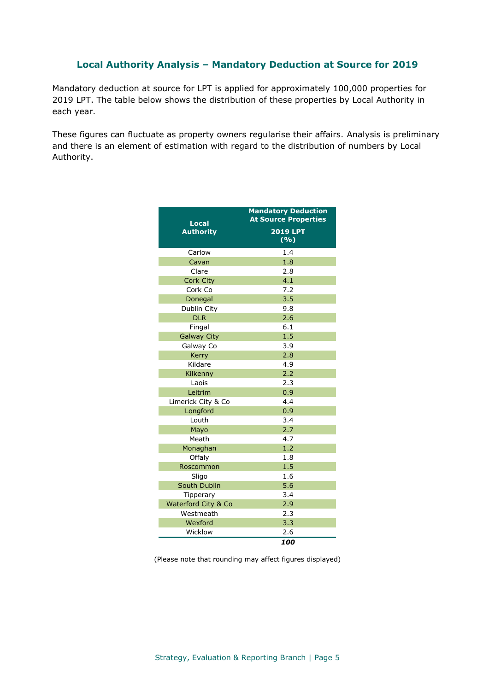#### **Local Authority Analysis – Mandatory Deduction at Source for 2019**

Mandatory deduction at source for LPT is applied for approximately 100,000 properties for 2019 LPT. The table below shows the distribution of these properties by Local Authority in each year.

These figures can fluctuate as property owners regularise their affairs. Analysis is preliminary and there is an element of estimation with regard to the distribution of numbers by Local Authority.

| Local               | <b>Mandatory Deduction</b><br><b>At Source Properties</b> |  |  |
|---------------------|-----------------------------------------------------------|--|--|
| <b>Authority</b>    | <b>2019 LPT</b><br>$(\overline{\frac{9}{6}})$             |  |  |
| Carlow              | 1.4                                                       |  |  |
| Cavan               | 1.8                                                       |  |  |
| Clare               | 2.8                                                       |  |  |
| <b>Cork City</b>    | 4.1                                                       |  |  |
| Cork Co             | 7.2                                                       |  |  |
| Donegal             | 3.5                                                       |  |  |
| Dublin City         | 9.8                                                       |  |  |
| <b>DLR</b>          | 2.6                                                       |  |  |
| Fingal              | 6.1                                                       |  |  |
| <b>Galway City</b>  | 1.5                                                       |  |  |
| Galway Co           | 3.9                                                       |  |  |
| Kerry               | 2.8                                                       |  |  |
| Kildare             | 4.9                                                       |  |  |
| Kilkenny            | 2.2                                                       |  |  |
| Laois               | 2.3                                                       |  |  |
| Leitrim             | 0.9                                                       |  |  |
| Limerick City & Co  | 4.4                                                       |  |  |
| Longford            | 0.9                                                       |  |  |
| Louth               | 3.4                                                       |  |  |
| Mayo                | 2.7                                                       |  |  |
| Meath               | 4.7                                                       |  |  |
| Monaghan            | 1.2                                                       |  |  |
| Offaly              | 1.8                                                       |  |  |
| Roscommon           | 1.5                                                       |  |  |
| Sligo               | 1.6                                                       |  |  |
| South Dublin        | 5.6                                                       |  |  |
| Tipperary           | 3.4                                                       |  |  |
| Waterford City & Co | 2.9                                                       |  |  |
| Westmeath           | 2.3                                                       |  |  |
| Wexford             | 3.3                                                       |  |  |
| Wicklow             | 2.6                                                       |  |  |
|                     | 100                                                       |  |  |

(Please note that rounding may affect figures displayed)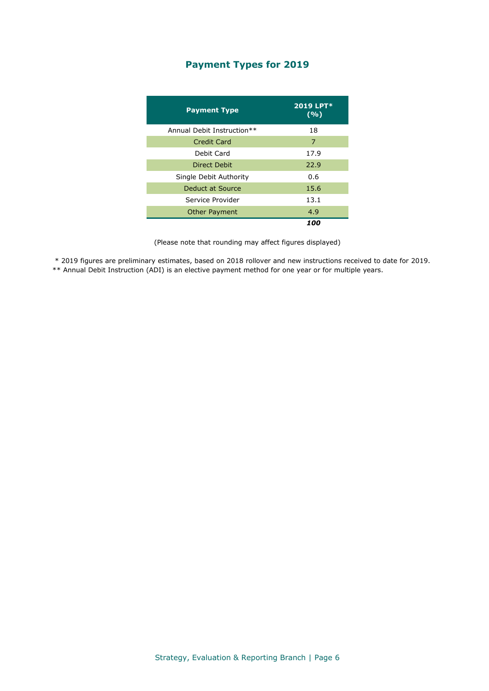# **Payment Types for 2019**

| <b>Payment Type</b>        | 2019 LPT*<br>(%) |
|----------------------------|------------------|
| Annual Debit Instruction** | 18               |
| Credit Card                | 7                |
| Debit Card                 | 17.9             |
| Direct Debit               | 22.9             |
| Single Debit Authority     | 0.6              |
| Deduct at Source           | 15.6             |
| Service Provider           | 13.1             |
| <b>Other Payment</b>       | 4.9              |
|                            | 100              |

(Please note that rounding may affect figures displayed)

\* 2019 figures are preliminary estimates, based on 2018 rollover and new instructions received to date for 2019. \*\* Annual Debit Instruction (ADI) is an elective payment method for one year or for multiple years.